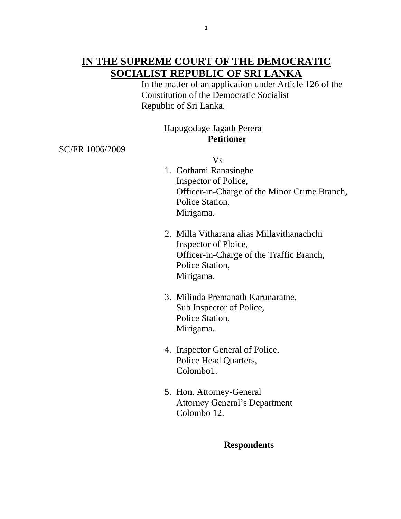## **IN THE SUPREME COURT OF THE DEMOCRATIC SOCIALIST REPUBLIC OF SRI LANKA**

 In the matter of an application under Article 126 of the Constitution of the Democratic Socialist Republic of Sri Lanka.

## Hapugodage Jagath Perera **Petitioner**

SC/FR 1006/2009

Vs

- 1. Gothami Ranasinghe Inspector of Police, Officer-in-Charge of the Minor Crime Branch, Police Station, Mirigama.
- 2. Milla Vitharana alias Millavithanachchi Inspector of Ploice, Officer-in-Charge of the Traffic Branch, Police Station, Mirigama.
- 3. Milinda Premanath Karunaratne, Sub Inspector of Police, Police Station, Mirigama.
- 4. Inspector General of Police, Police Head Quarters, Colombo1.
- 5. Hon. Attorney-General Attorney General's Department Colombo 12.

## **Respondents**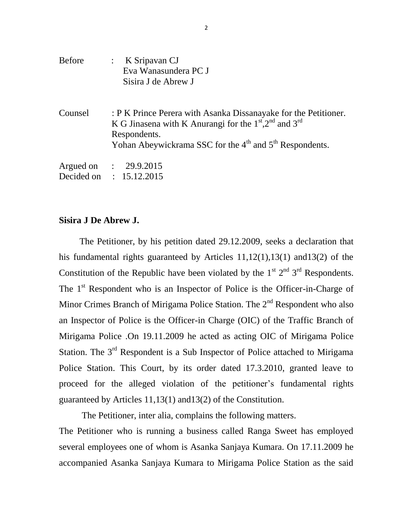| <b>Before</b> | : $K$ Sripavan CJ<br>Eva Wanasundera PC J<br>Sisira J de Abrew J                                                                                                                                               |
|---------------|----------------------------------------------------------------------------------------------------------------------------------------------------------------------------------------------------------------|
| Counsel       | : P K Prince Perera with Asanka Dissanayake for the Petitioner.<br>K G Jinasena with K Anurangi for the $1st$ , $2nd$ and $3rd$<br>Respondents.<br>Yohan Abeywickrama SSC for the $4th$ and $5th$ Respondents. |
|               | Argued on : 29.9.2015                                                                                                                                                                                          |
|               | Decided on : 15.12.2015                                                                                                                                                                                        |

## **Sisira J De Abrew J.**

The Petitioner, by his petition dated 29.12.2009, seeks a declaration that his fundamental rights guaranteed by Articles 11,12(1),13(1) and13(2) of the Constitution of the Republic have been violated by the  $1<sup>st</sup> 2<sup>nd</sup> 3<sup>rd</sup>$  Respondents. The  $1<sup>st</sup>$  Respondent who is an Inspector of Police is the Officer-in-Charge of Minor Crimes Branch of Mirigama Police Station. The  $2<sup>nd</sup>$  Respondent who also an Inspector of Police is the Officer-in Charge (OIC) of the Traffic Branch of Mirigama Police .On 19.11.2009 he acted as acting OIC of Mirigama Police Station. The 3<sup>rd</sup> Respondent is a Sub Inspector of Police attached to Mirigama Police Station. This Court, by its order dated 17.3.2010, granted leave to proceed for the alleged violation of the petitioner's fundamental rights guaranteed by Articles 11,13(1) and13(2) of the Constitution.

 The Petitioner, inter alia, complains the following matters. The Petitioner who is running a business called Ranga Sweet has employed several employees one of whom is Asanka Sanjaya Kumara. On 17.11.2009 he accompanied Asanka Sanjaya Kumara to Mirigama Police Station as the said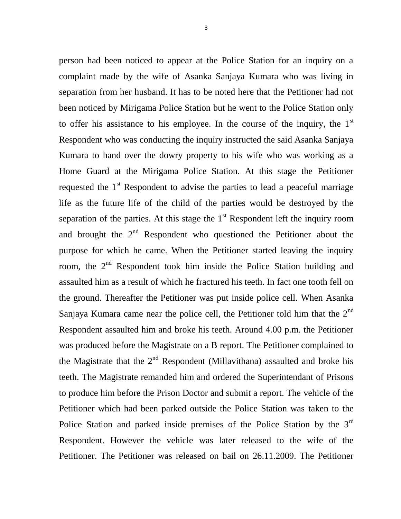person had been noticed to appear at the Police Station for an inquiry on a complaint made by the wife of Asanka Sanjaya Kumara who was living in separation from her husband. It has to be noted here that the Petitioner had not been noticed by Mirigama Police Station but he went to the Police Station only to offer his assistance to his employee. In the course of the inquiry, the  $1<sup>st</sup>$ Respondent who was conducting the inquiry instructed the said Asanka Sanjaya Kumara to hand over the dowry property to his wife who was working as a Home Guard at the Mirigama Police Station. At this stage the Petitioner requested the  $1<sup>st</sup>$  Respondent to advise the parties to lead a peaceful marriage life as the future life of the child of the parties would be destroyed by the separation of the parties. At this stage the  $1<sup>st</sup>$  Respondent left the inquiry room and brought the  $2<sup>nd</sup>$  Respondent who questioned the Petitioner about the purpose for which he came. When the Petitioner started leaving the inquiry room, the 2<sup>nd</sup> Respondent took him inside the Police Station building and assaulted him as a result of which he fractured his teeth. In fact one tooth fell on the ground. Thereafter the Petitioner was put inside police cell. When Asanka Sanjaya Kumara came near the police cell, the Petitioner told him that the  $2<sup>nd</sup>$ Respondent assaulted him and broke his teeth. Around 4.00 p.m. the Petitioner was produced before the Magistrate on a B report. The Petitioner complained to the Magistrate that the  $2<sup>nd</sup>$  Respondent (Millavithana) assaulted and broke his teeth. The Magistrate remanded him and ordered the Superintendant of Prisons to produce him before the Prison Doctor and submit a report. The vehicle of the Petitioner which had been parked outside the Police Station was taken to the Police Station and parked inside premises of the Police Station by the 3<sup>rd</sup> Respondent. However the vehicle was later released to the wife of the Petitioner. The Petitioner was released on bail on 26.11.2009. The Petitioner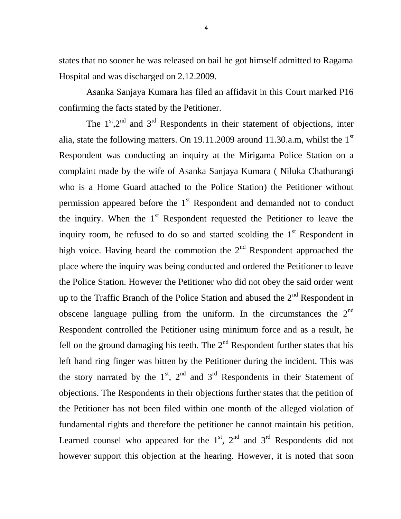states that no sooner he was released on bail he got himself admitted to Ragama Hospital and was discharged on 2.12.2009.

 Asanka Sanjaya Kumara has filed an affidavit in this Court marked P16 confirming the facts stated by the Petitioner.

The  $1<sup>st</sup>$ ,  $2<sup>nd</sup>$  and  $3<sup>rd</sup>$  Respondents in their statement of objections, inter alia, state the following matters. On 19.11.2009 around 11.30.a.m, whilst the 1<sup>st</sup> Respondent was conducting an inquiry at the Mirigama Police Station on a complaint made by the wife of Asanka Sanjaya Kumara ( Niluka Chathurangi who is a Home Guard attached to the Police Station) the Petitioner without permission appeared before the  $1<sup>st</sup>$  Respondent and demanded not to conduct the inquiry. When the  $1<sup>st</sup>$  Respondent requested the Petitioner to leave the inquiry room, he refused to do so and started scolding the  $1<sup>st</sup>$  Respondent in high voice. Having heard the commotion the  $2<sup>nd</sup>$  Respondent approached the place where the inquiry was being conducted and ordered the Petitioner to leave the Police Station. However the Petitioner who did not obey the said order went up to the Traffic Branch of the Police Station and abused the  $2<sup>nd</sup>$  Respondent in obscene language pulling from the uniform. In the circumstances the  $2<sup>nd</sup>$ Respondent controlled the Petitioner using minimum force and as a result, he fell on the ground damaging his teeth. The  $2<sup>nd</sup>$  Respondent further states that his left hand ring finger was bitten by the Petitioner during the incident. This was the story narrated by the  $1<sup>st</sup>$ ,  $2<sup>nd</sup>$  and  $3<sup>rd</sup>$  Respondents in their Statement of objections. The Respondents in their objections further states that the petition of the Petitioner has not been filed within one month of the alleged violation of fundamental rights and therefore the petitioner he cannot maintain his petition. Learned counsel who appeared for the  $1<sup>st</sup>$ ,  $2<sup>nd</sup>$  and  $3<sup>rd</sup>$  Respondents did not however support this objection at the hearing. However, it is noted that soon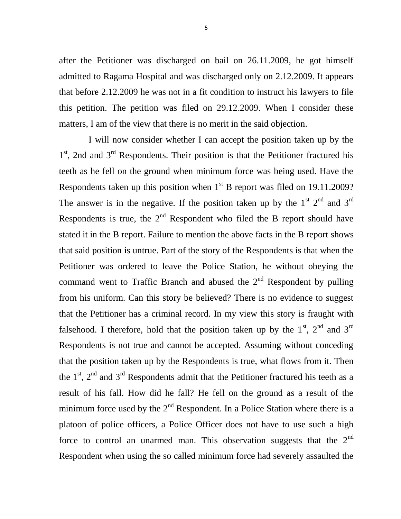after the Petitioner was discharged on bail on 26.11.2009, he got himself admitted to Ragama Hospital and was discharged only on 2.12.2009. It appears that before 2.12.2009 he was not in a fit condition to instruct his lawyers to file this petition. The petition was filed on 29.12.2009. When I consider these matters, I am of the view that there is no merit in the said objection.

 I will now consider whether I can accept the position taken up by the 1<sup>st</sup>, 2nd and 3<sup>rd</sup> Respondents. Their position is that the Petitioner fractured his teeth as he fell on the ground when minimum force was being used. Have the Respondents taken up this position when  $1<sup>st</sup>$  B report was filed on 19.11.2009? The answer is in the negative. If the position taken up by the  $1<sup>st</sup> 2<sup>nd</sup>$  and  $3<sup>rd</sup>$ Respondents is true, the  $2<sup>nd</sup>$  Respondent who filed the B report should have stated it in the B report. Failure to mention the above facts in the B report shows that said position is untrue. Part of the story of the Respondents is that when the Petitioner was ordered to leave the Police Station, he without obeying the command went to Traffic Branch and abused the  $2<sup>nd</sup>$  Respondent by pulling from his uniform. Can this story be believed? There is no evidence to suggest that the Petitioner has a criminal record. In my view this story is fraught with falsehood. I therefore, hold that the position taken up by the  $1<sup>st</sup>$ ,  $2<sup>nd</sup>$  and  $3<sup>rd</sup>$ Respondents is not true and cannot be accepted. Assuming without conceding that the position taken up by the Respondents is true, what flows from it. Then the  $1<sup>st</sup>$ ,  $2<sup>nd</sup>$  and  $3<sup>rd</sup>$  Respondents admit that the Petitioner fractured his teeth as a result of his fall. How did he fall? He fell on the ground as a result of the minimum force used by the  $2<sup>nd</sup>$  Respondent. In a Police Station where there is a platoon of police officers, a Police Officer does not have to use such a high force to control an unarmed man. This observation suggests that the  $2<sup>nd</sup>$ Respondent when using the so called minimum force had severely assaulted the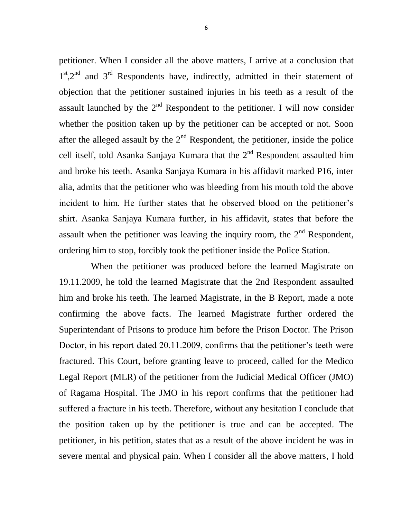petitioner. When I consider all the above matters, I arrive at a conclusion that 1<sup>st</sup>,2<sup>nd</sup> and 3<sup>rd</sup> Respondents have, indirectly, admitted in their statement of objection that the petitioner sustained injuries in his teeth as a result of the assault launched by the  $2<sup>nd</sup>$  Respondent to the petitioner. I will now consider whether the position taken up by the petitioner can be accepted or not. Soon after the alleged assault by the  $2<sup>nd</sup>$  Respondent, the petitioner, inside the police cell itself, told Asanka Sanjaya Kumara that the  $2<sup>nd</sup>$  Respondent assaulted him and broke his teeth. Asanka Sanjaya Kumara in his affidavit marked P16, inter alia, admits that the petitioner who was bleeding from his mouth told the above incident to him. He further states that he observed blood on the petitioner's shirt. Asanka Sanjaya Kumara further, in his affidavit, states that before the assault when the petitioner was leaving the inquiry room, the  $2<sup>nd</sup>$  Respondent, ordering him to stop, forcibly took the petitioner inside the Police Station.

 When the petitioner was produced before the learned Magistrate on 19.11.2009, he told the learned Magistrate that the 2nd Respondent assaulted him and broke his teeth. The learned Magistrate, in the B Report, made a note confirming the above facts. The learned Magistrate further ordered the Superintendant of Prisons to produce him before the Prison Doctor. The Prison Doctor, in his report dated 20.11.2009, confirms that the petitioner's teeth were fractured. This Court, before granting leave to proceed, called for the Medico Legal Report (MLR) of the petitioner from the Judicial Medical Officer (JMO) of Ragama Hospital. The JMO in his report confirms that the petitioner had suffered a fracture in his teeth. Therefore, without any hesitation I conclude that the position taken up by the petitioner is true and can be accepted. The petitioner, in his petition, states that as a result of the above incident he was in severe mental and physical pain. When I consider all the above matters, I hold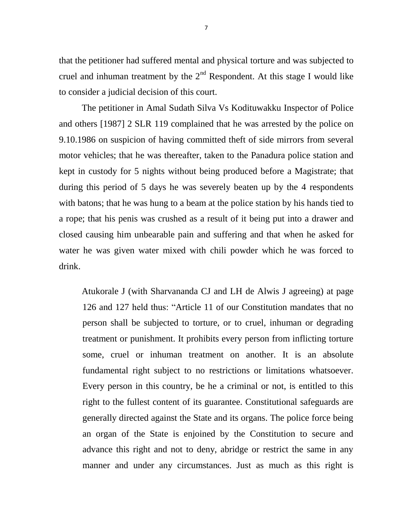that the petitioner had suffered mental and physical torture and was subjected to cruel and inhuman treatment by the  $2<sup>nd</sup>$  Respondent. At this stage I would like to consider a judicial decision of this court.

 The petitioner in Amal Sudath Silva Vs Kodituwakku Inspector of Police and others [1987] 2 SLR 119 complained that he was arrested by the police on 9.10.1986 on suspicion of having committed theft of side mirrors from several motor vehicles; that he was thereafter, taken to the Panadura police station and kept in custody for 5 nights without being produced before a Magistrate; that during this period of 5 days he was severely beaten up by the 4 respondents with batons; that he was hung to a beam at the police station by his hands tied to a rope; that his penis was crushed as a result of it being put into a drawer and closed causing him unbearable pain and suffering and that when he asked for water he was given water mixed with chili powder which he was forced to drink.

 Atukorale J (with Sharvananda CJ and LH de Alwis J agreeing) at page 126 and 127 held thus: "Article 11 of our Constitution mandates that no person shall be subjected to torture, or to cruel, inhuman or degrading treatment or punishment. It prohibits every person from inflicting torture some, cruel or inhuman treatment on another. It is an absolute fundamental right subject to no restrictions or limitations whatsoever. Every person in this country, be he a criminal or not, is entitled to this right to the fullest content of its guarantee. Constitutional safeguards are generally directed against the State and its organs. The police force being an organ of the State is enjoined by the Constitution to secure and advance this right and not to deny, abridge or restrict the same in any manner and under any circumstances. Just as much as this right is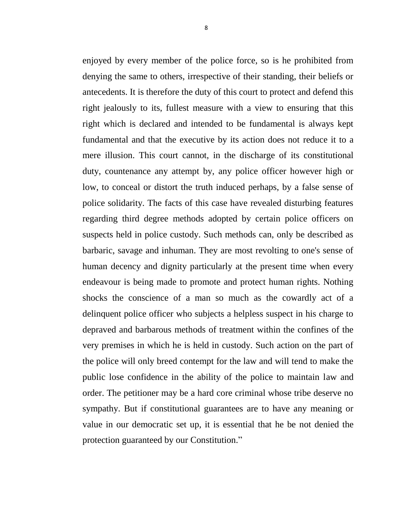enjoyed by every member of the police force, so is he prohibited from denying the same to others, irrespective of their standing, their beliefs or antecedents. It is therefore the duty of this court to protect and defend this right jealously to its, fullest measure with a view to ensuring that this right which is declared and intended to be fundamental is always kept fundamental and that the executive by its action does not reduce it to a mere illusion. This court cannot, in the discharge of its constitutional duty, countenance any attempt by, any police officer however high or low, to conceal or distort the truth induced perhaps, by a false sense of police solidarity. The facts of this case have revealed disturbing features regarding third degree methods adopted by certain police officers on suspects held in police custody. Such methods can, only be described as barbaric, savage and inhuman. They are most revolting to one's sense of human decency and dignity particularly at the present time when every endeavour is being made to promote and protect human rights. Nothing shocks the conscience of a man so much as the cowardly act of a delinquent police officer who subjects a helpless suspect in his charge to depraved and barbarous methods of treatment within the confines of the very premises in which he is held in custody. Such action on the part of the police will only breed contempt for the law and will tend to make the public lose confidence in the ability of the police to maintain law and order. The petitioner may be a hard core criminal whose tribe deserve no sympathy. But if constitutional guarantees are to have any meaning or value in our democratic set up, it is essential that he be not denied the protection guaranteed by our Constitution."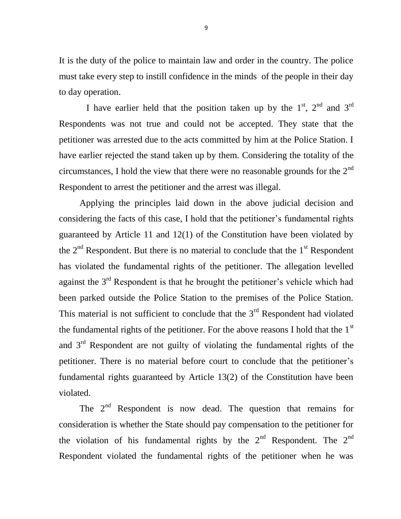It is the duty of the police to maintain law and order in the country. The police must take every step to instill confidence in the minds of the people in their day to day operation.

I have earlier held that the position taken up by the  $1<sup>st</sup>$ ,  $2<sup>nd</sup>$  and  $3<sup>rd</sup>$ Respondents was not true and could not be accepted. They state that the petitioner was arrested due to the acts committed by him at the Police Station. I have earlier rejected the stand taken up by them. Considering the totality of the circumstances, I hold the view that there were no reasonable grounds for the  $2<sup>nd</sup>$ Respondent to arrest the petitioner and the arrest was illegal.

 Applying the principles laid down in the above judicial decision and considering the facts of this case, I hold that the petitioner's fundamental rights guaranteed by Article 11 and 12(1) of the Constitution have been violated by the  $2<sup>nd</sup>$  Respondent. But there is no material to conclude that the  $1<sup>st</sup>$  Respondent has violated the fundamental rights of the petitioner. The allegation levelled against the  $3<sup>rd</sup>$  Respondent is that he brought the petitioner's vehicle which had been parked outside the Police Station to the premises of the Police Station. This material is not sufficient to conclude that the  $3<sup>rd</sup>$  Respondent had violated the fundamental rights of the petitioner. For the above reasons I hold that the  $1<sup>st</sup>$ and  $3<sup>rd</sup>$  Respondent are not guilty of violating the fundamental rights of the petitioner. There is no material before court to conclude that the petitioner's fundamental rights guaranteed by Article 13(2) of the Constitution have been violated.

The  $2<sup>nd</sup>$  Respondent is now dead. The question that remains for consideration is whether the State should pay compensation to the petitioner for the violation of his fundamental rights by the  $2<sup>nd</sup>$  Respondent. The  $2<sup>nd</sup>$ Respondent violated the fundamental rights of the petitioner when he was

9